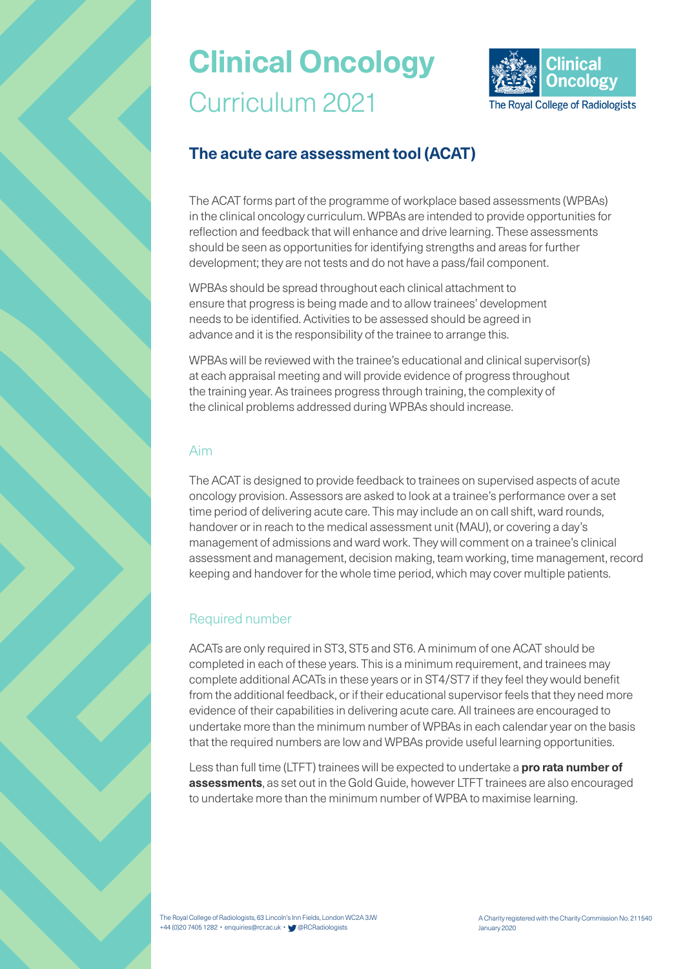# **Clinical Oncology** Curriculum 2021



## **The acute care assessment tool (ACAT)**

The ACAT forms part of the programme of workplace based assessments (WPBAs) in the clinical oncology curriculum. WPBAs are intended to provide opportunities for reflection and feedback that will enhance and drive learning. These assessments should be seen as opportunities for identifying strengths and areas for further development; they are not tests and do not have a pass/fail component.

WPBAs should be spread throughout each clinical attachment to ensure that progress is being made and to allow trainees' development needs to be identified. Activities to be assessed should be agreed in advance and it is the responsibility of the trainee to arrange this.

WPBAs will be reviewed with the trainee's educational and clinical supervisor(s) at each appraisal meeting and will provide evidence of progress throughout the training year. As trainees progress through training, the complexity of the clinical problems addressed during WPBAs should increase.

#### Aim

The ACAT is designed to provide feedback to trainees on supervised aspects of acute oncology provision. Assessors are asked to look at a trainee's performance over a set time period of delivering acute care. This may include an on call shift, ward rounds, handover or in reach to the medical assessment unit (MAU), or covering a day's management of admissions and ward work. They will comment on a trainee's clinical assessment and management, decision making, team working, time management, record keeping and handover for the whole time period, which may cover multiple patients.

#### Required number

ACATs are only required in ST3, ST5 and ST6. A minimum of one ACAT should be completed in each of these years. This is a minimum requirement, and trainees may complete additional ACATs in these years or in ST4/ST7 if they feel they would benefit from the additional feedback, or if their educational supervisor feels that they need more evidence of their capabilities in delivering acute care. All trainees are encouraged to undertake more than the minimum number of WPBAs in each calendar year on the basis that the required numbers are low and WPBAs provide useful learning opportunities.

Less than full time (LTFT) trainees will be expected to undertake a **pro rata number of assessments**, as set out in the Gold Guide, however LTFT trainees are also encouraged to undertake more than the minimum number of WPBA to maximise learning.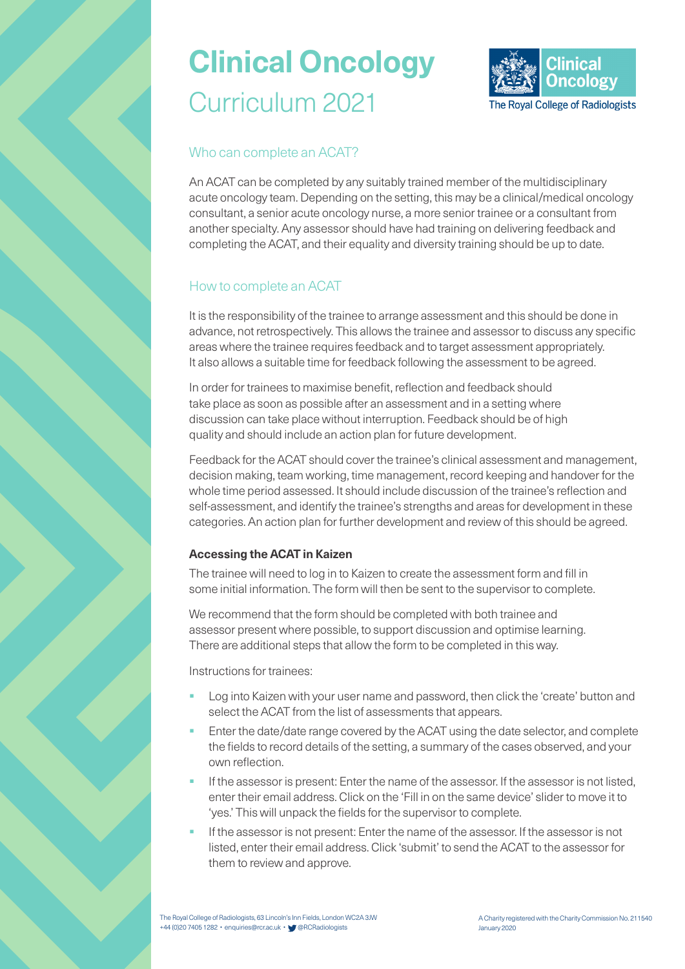## **Clinical Oncology** Curriculum 2021



### Who can complete an ACAT?

An ACAT can be completed by any suitably trained member of the multidisciplinary acute oncology team. Depending on the setting, this may be a clinical/medical oncology consultant, a senior acute oncology nurse, a more senior trainee or a consultant from another specialty. Any assessor should have had training on delivering feedback and completing the ACAT, and their equality and diversity training should be up to date.

### How to complete an ACAT

It is the responsibility of the trainee to arrange assessment and this should be done in advance, not retrospectively. This allows the trainee and assessor to discuss any specific areas where the trainee requires feedback and to target assessment appropriately. It also allows a suitable time for feedback following the assessment to be agreed.

In order for trainees to maximise benefit, reflection and feedback should take place as soon as possible after an assessment and in a setting where discussion can take place without interruption. Feedback should be of high quality and should include an action plan for future development.

Feedback for the ACAT should cover the trainee's clinical assessment and management, decision making, team working, time management, record keeping and handover for the whole time period assessed. It should include discussion of the trainee's reflection and self-assessment, and identify the trainee's strengths and areas for development in these categories. An action plan for further development and review of this should be agreed.

#### **Accessing the ACAT in Kaizen**

The trainee will need to log in to Kaizen to create the assessment form and fill in some initial information. The form will then be sent to the supervisor to complete.

We recommend that the form should be completed with both trainee and assessor present where possible, to support discussion and optimise learning. There are additional steps that allow the form to be completed in this way.

Instructions for trainees:

- Log into Kaizen with your user name and password, then click the 'create' button and select the ACAT from the list of assessments that appears.
- Enter the date/date range covered by the ACAT using the date selector, and complete the fields to record details of the setting, a summary of the cases observed, and your own reflection.
- If the assessor is present: Enter the name of the assessor. If the assessor is not listed, enter their email address. Click on the 'Fill in on the same device' slider to move it to 'yes.' This will unpack the fields for the supervisor to complete.
- If the assessor is not present: Enter the name of the assessor. If the assessor is not listed, enter their email address. Click 'submit' to send the ACAT to the assessor for them to review and approve.